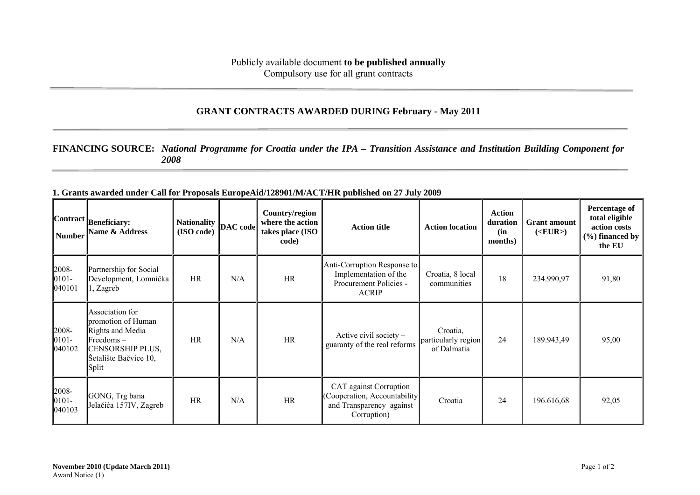## **GRANT CONTRACTS AWARDED DURING February - May 2011**

## **FINANCING SOURCE:** *National Programme for Croatia under the IPA – Transition Assistance and Institution Building Component for 2008*

| <b>Number</b>                | $ Contract _{\text{Beneficiency}}$<br>Name & Address                                                                                   | <b>Nationality</b><br>(ISO code) | DAC code | Country/region<br>where the action<br>takes place (ISO<br>code) | <b>Action title</b>                                                                                | <b>Action location</b>                         | <b>Action</b><br>duration<br>(in<br>months) | <b>Grant</b> amount<br>( <b>EUR</b> ) | Percentage of<br>total eligible<br>action costs<br>$(\% )$ financed by<br>the EU |
|------------------------------|----------------------------------------------------------------------------------------------------------------------------------------|----------------------------------|----------|-----------------------------------------------------------------|----------------------------------------------------------------------------------------------------|------------------------------------------------|---------------------------------------------|---------------------------------------|----------------------------------------------------------------------------------|
| 2008-<br>$ 0101 -$<br>040101 | Partnership for Social<br>Development, Lomnička<br>l, Zagreb                                                                           | <b>HR</b>                        | N/A      | HR                                                              | Anti-Corruption Response to<br>Implementation of the<br>Procurement Policies -<br><b>ACRIP</b>     | Croatia, 8 local<br>communities                | 18                                          | 234.990,97                            | 91,80                                                                            |
| 2008-<br>$ 0101 -$<br>040102 | Association for<br>promotion of Human<br>Rights and Media<br>$Freedoms -$<br><b>CENSORSHIP PLUS,</b><br>Šetalište Bačvice 10,<br>Split | <b>HR</b>                        | N/A      | HR                                                              | Active civil society $-$<br>guaranty of the real reforms                                           | Croatia,<br>particularly region<br>of Dalmatia | 24                                          | 189.943,49                            | 95,00                                                                            |
| 2008-<br>$ 0101 -$<br>040103 | GONG, Trg bana<br>Jelačića 157IV, Zagreb                                                                                               | <b>HR</b>                        | N/A      | HR                                                              | CAT against Corruption<br>(Cooperation, Accountability)<br>and Transparency against<br>Corruption) | Croatia                                        | 24                                          | 196.616,68                            | 92,05                                                                            |

**1. Grants awarded under Call for Proposals EuropeAid/128901/M/ACT/HR published on 27 July 2009**